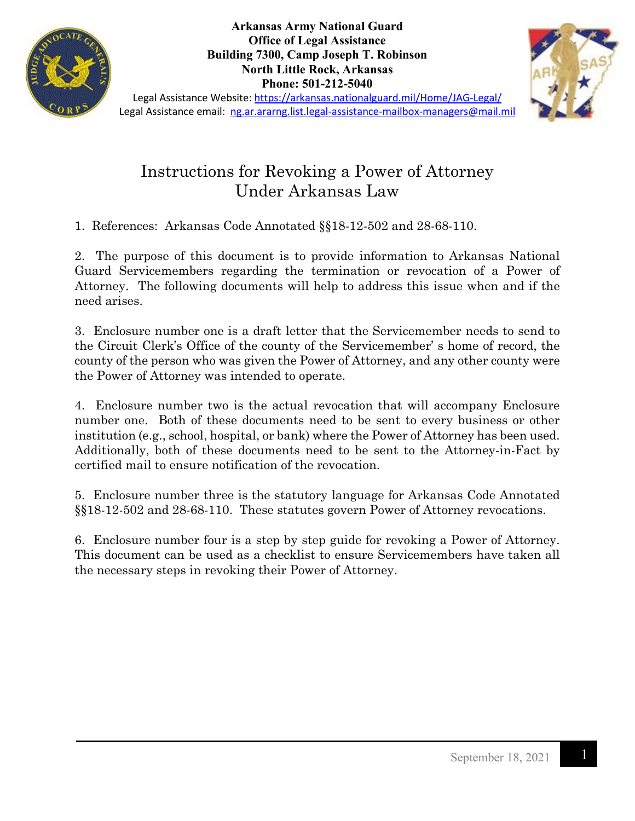

**Arkansas Army National Guard Office of Legal Assistance Building 7300, Camp Joseph T. Robinson North Little Rock, Arkansas Phone: 501-212-5040**



Legal Assistance Website:<https://arkansas.nationalguard.mil/Home/JAG-Legal/> Legal Assistance email: [ng.ar.ararng.list.legal-assistance-mailbox-managers@mail.mil](mailto:ng.ar.ararng.list.legal-assistance-mailbox-managers@mail.mil)

# Instructions for Revoking a Power of Attorney Under Arkansas Law

1. References: Arkansas Code Annotated §§18-12-502 and 28-68-110.

2. The purpose of this document is to provide information to Arkansas National Guard Servicemembers regarding the termination or revocation of a Power of Attorney. The following documents will help to address this issue when and if the need arises.

3. Enclosure number one is a draft letter that the Servicemember needs to send to the Circuit Clerk's Office of the county of the Servicemember' s home of record, the county of the person who was given the Power of Attorney, and any other county were the Power of Attorney was intended to operate.

4. Enclosure number two is the actual revocation that will accompany Enclosure number one. Both of these documents need to be sent to every business or other institution (e.g., school, hospital, or bank) where the Power of Attorney has been used. Additionally, both of these documents need to be sent to the Attorney-in-Fact by certified mail to ensure notification of the revocation.

5. Enclosure number three is the statutory language for Arkansas Code Annotated §§18-12-502 and 28-68-110. These statutes govern Power of Attorney revocations.

6. Enclosure number four is a step by step guide for revoking a Power of Attorney. This document can be used as a checklist to ensure Servicemembers have taken all the necessary steps in revoking their Power of Attorney.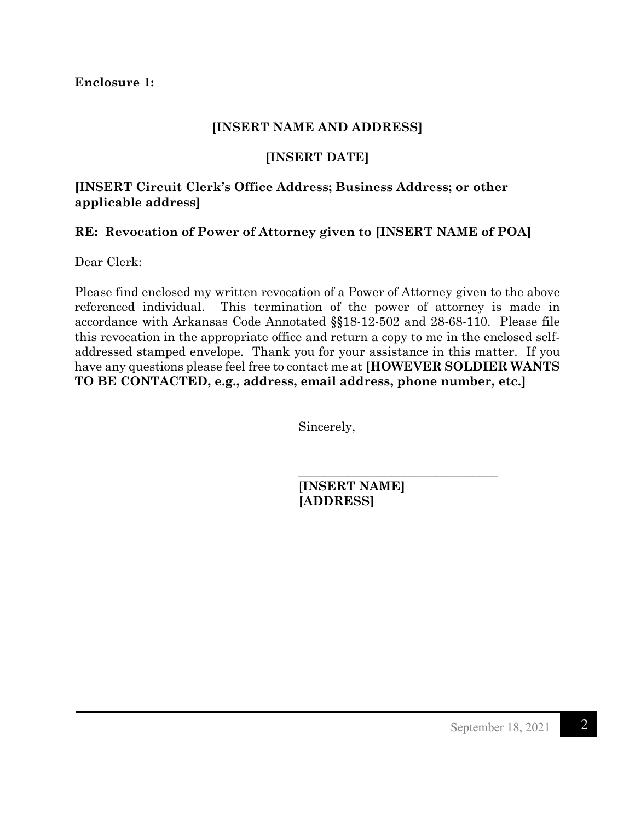**Enclosure 1:**

### **[INSERT NAME AND ADDRESS]**

# **[INSERT DATE]**

# **[INSERT Circuit Clerk's Office Address; Business Address; or other applicable address]**

# **RE: Revocation of Power of Attorney given to [INSERT NAME of POA]**

Dear Clerk:

Please find enclosed my written revocation of a Power of Attorney given to the above referenced individual. This termination of the power of attorney is made in accordance with Arkansas Code Annotated §§18-12-502 and 28-68-110. Please file this revocation in the appropriate office and return a copy to me in the enclosed selfaddressed stamped envelope. Thank you for your assistance in this matter. If you have any questions please feel free to contact me at **[HOWEVER SOLDIER WANTS TO BE CONTACTED, e.g., address, email address, phone number, etc.]**

Sincerely,

[**INSERT NAME] [ADDRESS]** 

 $\overline{\phantom{a}}$  , where  $\overline{\phantom{a}}$  , where  $\overline{\phantom{a}}$  ,  $\overline{\phantom{a}}$  ,  $\overline{\phantom{a}}$  ,  $\overline{\phantom{a}}$  ,  $\overline{\phantom{a}}$  ,  $\overline{\phantom{a}}$  ,  $\overline{\phantom{a}}$  ,  $\overline{\phantom{a}}$  ,  $\overline{\phantom{a}}$  ,  $\overline{\phantom{a}}$  ,  $\overline{\phantom{a}}$  ,  $\overline{\phantom{a}}$  ,  $\overline{\phantom{a}}$  ,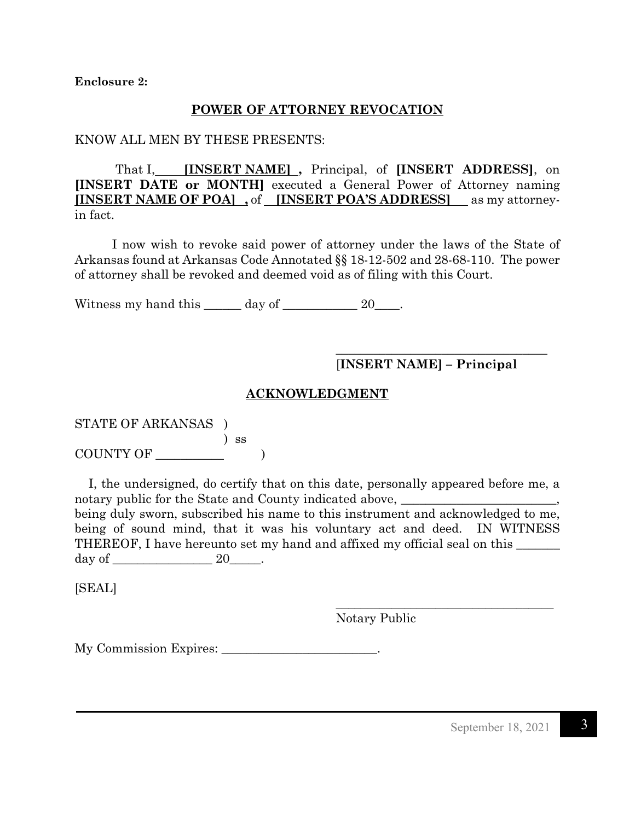**Enclosure 2:**

#### **POWER OF ATTORNEY REVOCATION**

#### KNOW ALL MEN BY THESE PRESENTS:

That I, **[INSERT NAME] ,** Principal, of **[INSERT ADDRESS]**, on **[INSERT DATE or MONTH]** executed a General Power of Attorney naming **[INSERT NAME OF POA] ,** of **[INSERT POA'S ADDRESS]** as my attorneyin fact.

I now wish to revoke said power of attorney under the laws of the State of Arkansas found at Arkansas Code Annotated §§ 18-12-502 and 28-68-110. The power of attorney shall be revoked and deemed void as of filing with this Court.

Witness my hand this  $\_\_\_\_\$  day of  $\_\_\_\_\_\_\$  20 $\_\_\_\$ .

 $\overline{\phantom{a}}$  , where  $\overline{\phantom{a}}$  , where  $\overline{\phantom{a}}$  ,  $\overline{\phantom{a}}$  ,  $\overline{\phantom{a}}$  ,  $\overline{\phantom{a}}$  ,  $\overline{\phantom{a}}$  ,  $\overline{\phantom{a}}$  ,  $\overline{\phantom{a}}$  ,  $\overline{\phantom{a}}$  ,  $\overline{\phantom{a}}$  ,  $\overline{\phantom{a}}$  ,  $\overline{\phantom{a}}$  ,  $\overline{\phantom{a}}$  ,  $\overline{\phantom{a}}$  , [**INSERT NAME] – Principal** 

#### **ACKNOWLEDGMENT**

STATE OF ARKANSAS ) ) ss COUNTY OF  $\qquad \qquad$  )

 I, the undersigned, do certify that on this date, personally appeared before me, a notary public for the State and County indicated above,  $\frac{1}{\sqrt{1-\frac{1}{\sqrt{1-\frac{1}{\sqrt{1-\frac{1}{\sqrt{1-\frac{1}{\sqrt{1-\frac{1}{\sqrt{1-\frac{1}{\sqrt{1-\frac{1}{\sqrt{1-\frac{1}{\sqrt{1-\frac{1}{\sqrt{1-\frac{1}{\sqrt{1-\frac{1}{\sqrt{1-\frac{1}{\sqrt{1-\frac{1}{\sqrt{1-\frac{1}{\sqrt{1-\frac{1}{\sqrt{1-\frac{1}{\sqrt{1-\frac{1}{\sqrt{1-\frac{$ being duly sworn, subscribed his name to this instrument and acknowledged to me, being of sound mind, that it was his voluntary act and deed. IN WITNESS THEREOF, I have hereunto set my hand and affixed my official seal on this day of  $\_\_\_\_\_\_\_\_\_\_\_\_\_\_\_\_\_\_\_\_\_\_\_\_\_\_$ 

 $\frac{1}{\sqrt{2}}$  ,  $\frac{1}{\sqrt{2}}$  ,  $\frac{1}{\sqrt{2}}$  ,  $\frac{1}{\sqrt{2}}$  ,  $\frac{1}{\sqrt{2}}$  ,  $\frac{1}{\sqrt{2}}$  ,  $\frac{1}{\sqrt{2}}$  ,  $\frac{1}{\sqrt{2}}$  ,  $\frac{1}{\sqrt{2}}$  ,  $\frac{1}{\sqrt{2}}$  ,  $\frac{1}{\sqrt{2}}$  ,  $\frac{1}{\sqrt{2}}$  ,  $\frac{1}{\sqrt{2}}$  ,  $\frac{1}{\sqrt{2}}$  ,  $\frac{1}{\sqrt{2}}$ 

[SEAL]

Notary Public

My Commission Expires: \_\_\_\_\_\_\_\_\_\_\_\_\_\_\_\_\_\_\_\_\_\_\_\_.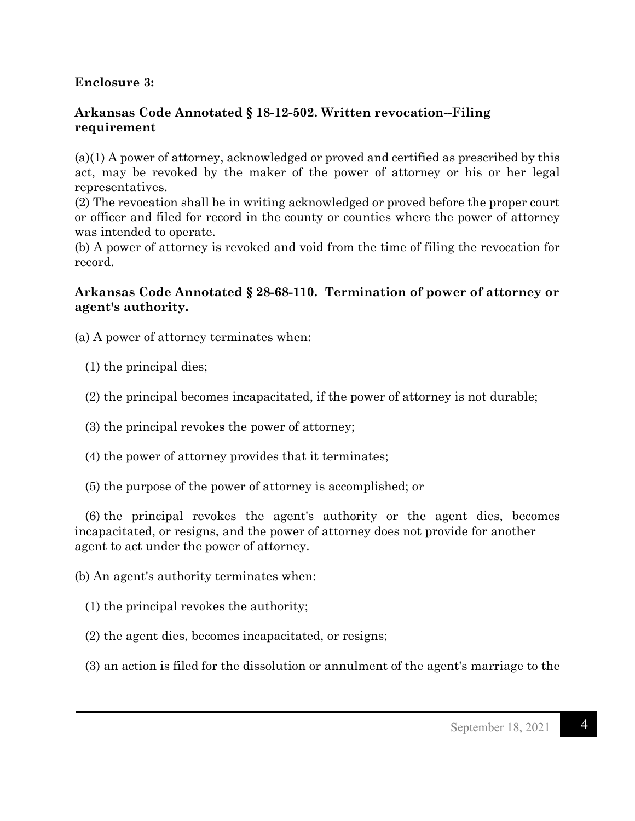# **Enclosure 3:**

## **Arkansas Code Annotated § 18-12-502. Written revocation--Filing requirement**

(a)(1) A power of attorney, acknowledged or proved and certified as prescribed by this act, may be revoked by the maker of the power of attorney or his or her legal representatives.

(2) The revocation shall be in writing acknowledged or proved before the proper court or officer and filed for record in the county or counties where the power of attorney was intended to operate.

(b) A power of attorney is revoked and void from the time of filing the revocation for record.

## **Arkansas Code Annotated § 28-68-110. Termination of power of attorney or agent's authority.**

(a) A power of attorney terminates when:

- (1) the principal dies;
- (2) the principal becomes incapacitated, if the power of attorney is not durable;
- (3) the principal revokes the power of attorney;
- (4) the power of attorney provides that it terminates;
- (5) the purpose of the power of attorney is accomplished; or

 (6) the principal revokes the agent's authority or the agent dies, becomes incapacitated, or resigns, and the power of attorney does not provide for another agent to act under the power of attorney.

(b) An agent's authority terminates when:

- (1) the principal revokes the authority;
- (2) the agent dies, becomes incapacitated, or resigns;
- (3) an action is filed for the dissolution or annulment of the agent's marriage to the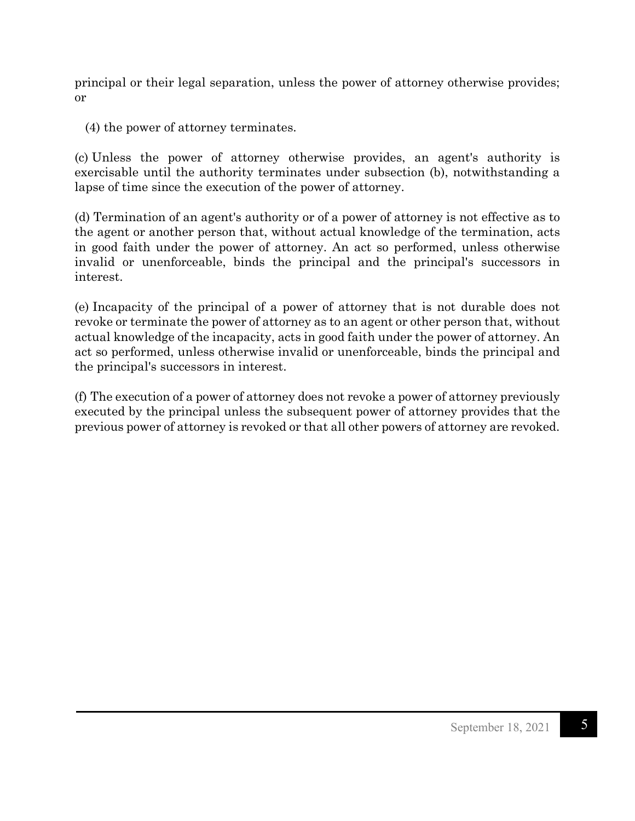principal or their legal separation, unless the power of attorney otherwise provides; or

(4) the power of attorney terminates.

(c) Unless the power of attorney otherwise provides, an agent's authority is exercisable until the authority terminates under subsection (b), notwithstanding a lapse of time since the execution of the power of attorney.

(d) Termination of an agent's authority or of a power of attorney is not effective as to the agent or another person that, without actual knowledge of the termination, acts in good faith under the power of attorney. An act so performed, unless otherwise invalid or unenforceable, binds the principal and the principal's successors in interest.

(e) Incapacity of the principal of a power of attorney that is not durable does not revoke or terminate the power of attorney as to an agent or other person that, without actual knowledge of the incapacity, acts in good faith under the power of attorney. An act so performed, unless otherwise invalid or unenforceable, binds the principal and the principal's successors in interest.

(f) The execution of a power of attorney does not revoke a power of attorney previously executed by the principal unless the subsequent power of attorney provides that the previous power of attorney is revoked or that all other powers of attorney are revoked.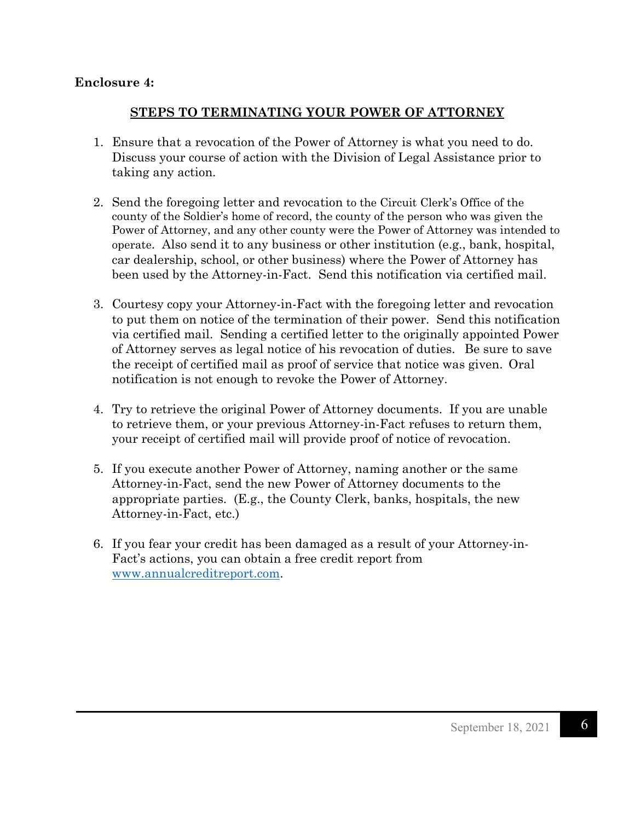## **Enclosure 4:**

## **STEPS TO TERMINATING YOUR POWER OF ATTORNEY**

- 1. Ensure that a revocation of the Power of Attorney is what you need to do. Discuss your course of action with the Division of Legal Assistance prior to taking any action.
- 2. Send the foregoing letter and revocation to the Circuit Clerk's Office of the county of the Soldier's home of record, the county of the person who was given the Power of Attorney, and any other county were the Power of Attorney was intended to operate. Also send it to any business or other institution (e.g., bank, hospital, car dealership, school, or other business) where the Power of Attorney has been used by the Attorney-in-Fact. Send this notification via certified mail.
- 3. Courtesy copy your Attorney-in-Fact with the foregoing letter and revocation to put them on notice of the termination of their power. Send this notification via certified mail. Sending a certified letter to the originally appointed Power of Attorney serves as legal notice of his revocation of duties. Be sure to save the receipt of certified mail as proof of service that notice was given. Oral notification is not enough to revoke the Power of Attorney.
- 4. Try to retrieve the original Power of Attorney documents. If you are unable to retrieve them, or your previous Attorney-in-Fact refuses to return them, your receipt of certified mail will provide proof of notice of revocation.
- 5. If you execute another Power of Attorney, naming another or the same Attorney-in-Fact, send the new Power of Attorney documents to the appropriate parties. (E.g., the County Clerk, banks, hospitals, the new Attorney-in-Fact, etc.)
- 6. If you fear your credit has been damaged as a result of your Attorney-in-Fact's actions, you can obtain a free credit report from [www.annualcreditreport.com.](http://www.annualcreditreport.com/)